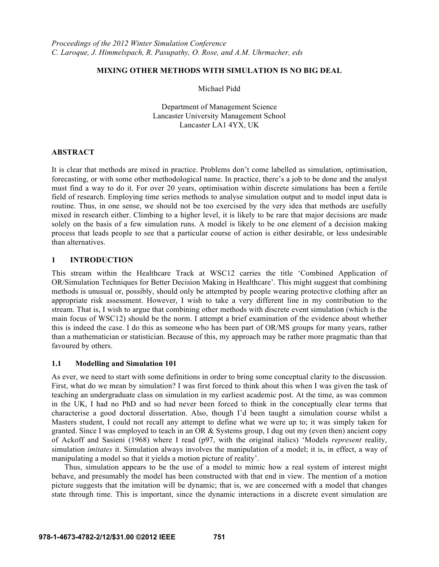## **MIXING OTHER METHODS WITH SIMULATION IS NO BIG DEAL**

Michael Pidd

Department of Management Science Lancaster University Management School Lancaster LA1 4YX, UK

### **ABSTRACT**

It is clear that methods are mixed in practice. Problems don't come labelled as simulation, optimisation, forecasting, or with some other methodological name. In practice, there's a job to be done and the analyst must find a way to do it. For over 20 years, optimisation within discrete simulations has been a fertile field of research. Employing time series methods to analyse simulation output and to model input data is routine. Thus, in one sense, we should not be too exercised by the very idea that methods are usefully mixed in research either. Climbing to a higher level, it is likely to be rare that major decisions are made solely on the basis of a few simulation runs. A model is likely to be one element of a decision making process that leads people to see that a particular course of action is either desirable, or less undesirable than alternatives.

## **1 INTRODUCTION**

This stream within the Healthcare Track at WSC12 carries the title 'Combined Application of OR/Simulation Techniques for Better Decision Making in Healthcare'. This might suggest that combining methods is unusual or, possibly, should only be attempted by people wearing protective clothing after an appropriate risk assessment. However, I wish to take a very different line in my contribution to the stream. That is, I wish to argue that combining other methods with discrete event simulation (which is the main focus of WSC12) should be the norm. I attempt a brief examination of the evidence about whether this is indeed the case. I do this as someone who has been part of OR/MS groups for many years, rather than a mathematician or statistician. Because of this, my approach may be rather more pragmatic than that favoured by others.

## **1.1 Modelling and Simulation 101**

As ever, we need to start with some definitions in order to bring some conceptual clarity to the discussion. First, what do we mean by simulation? I was first forced to think about this when I was given the task of teaching an undergraduate class on simulation in my earliest academic post. At the time, as was common in the UK, I had no PhD and so had never been forced to think in the conceptually clear terms that characterise a good doctoral dissertation. Also, though I'd been taught a simulation course whilst a Masters student, I could not recall any attempt to define what we were up to; it was simply taken for granted. Since I was employed to teach in an OR & Systems group, I dug out my (even then) ancient copy of Ackoff and Sasieni (1968) where I read (p97, with the original italics) 'Models *represent* reality, simulation *imitates* it. Simulation always involves the manipulation of a model; it is, in effect, a way of manipulating a model so that it yields a motion picture of reality'.

Thus, simulation appears to be the use of a model to mimic how a real system of interest might behave, and presumably the model has been constructed with that end in view. The mention of a motion picture suggests that the imitation will be dynamic; that is, we are concerned with a model that changes state through time. This is important, since the dynamic interactions in a discrete event simulation are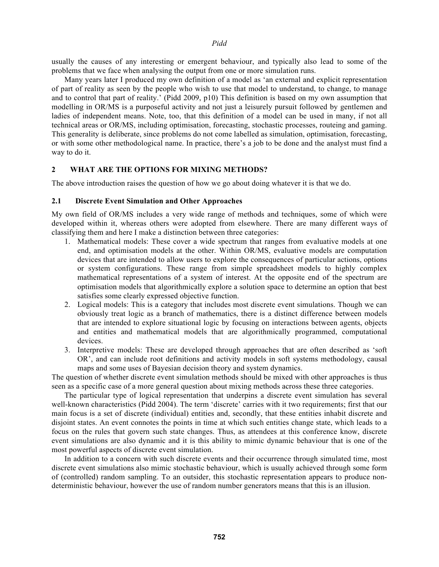usually the causes of any interesting or emergent behaviour, and typically also lead to some of the problems that we face when analysing the output from one or more simulation runs.

Many years later I produced my own definition of a model as 'an external and explicit representation of part of reality as seen by the people who wish to use that model to understand, to change, to manage and to control that part of reality.' (Pidd 2009, p10) This definition is based on my own assumption that modelling in OR/MS is a purposeful activity and not just a leisurely pursuit followed by gentlemen and ladies of independent means. Note, too, that this definition of a model can be used in many, if not all technical areas or OR/MS, including optimisation, forecasting, stochastic processes, routeing and gaming. This generality is deliberate, since problems do not come labelled as simulation, optimisation, forecasting, or with some other methodological name. In practice, there's a job to be done and the analyst must find a way to do it.

## **2 WHAT ARE THE OPTIONS FOR MIXING METHODS?**

The above introduction raises the question of how we go about doing whatever it is that we do.

#### **2.1 Discrete Event Simulation and Other Approaches**

My own field of OR/MS includes a very wide range of methods and techniques, some of which were developed within it, whereas others were adopted from elsewhere. There are many different ways of classifying them and here I make a distinction between three categories:

- 1. Mathematical models: These cover a wide spectrum that ranges from evaluative models at one end, and optimisation models at the other. Within OR/MS, evaluative models are computation devices that are intended to allow users to explore the consequences of particular actions, options or system configurations. These range from simple spreadsheet models to highly complex mathematical representations of a system of interest. At the opposite end of the spectrum are optimisation models that algorithmically explore a solution space to determine an option that best satisfies some clearly expressed objective function.
- 2. Logical models: This is a category that includes most discrete event simulations. Though we can obviously treat logic as a branch of mathematics, there is a distinct difference between models that are intended to explore situational logic by focusing on interactions between agents, objects and entities and mathematical models that are algorithmically programmed, computational devices.
- 3. Interpretive models: These are developed through approaches that are often described as 'soft OR', and can include root definitions and activity models in soft systems methodology, causal maps and some uses of Bayesian decision theory and system dynamics.

The question of whether discrete event simulation methods should be mixed with other approaches is thus seen as a specific case of a more general question about mixing methods across these three categories.

The particular type of logical representation that underpins a discrete event simulation has several well-known characteristics (Pidd 2004). The term 'discrete' carries with it two requirements; first that our main focus is a set of discrete (individual) entities and, secondly, that these entities inhabit discrete and disjoint states. An event connotes the points in time at which such entities change state, which leads to a focus on the rules that govern such state changes. Thus, as attendees at this conference know, discrete event simulations are also dynamic and it is this ability to mimic dynamic behaviour that is one of the most powerful aspects of discrete event simulation.

In addition to a concern with such discrete events and their occurrence through simulated time, most discrete event simulations also mimic stochastic behaviour, which is usually achieved through some form of (controlled) random sampling. To an outsider, this stochastic representation appears to produce nondeterministic behaviour, however the use of random number generators means that this is an illusion.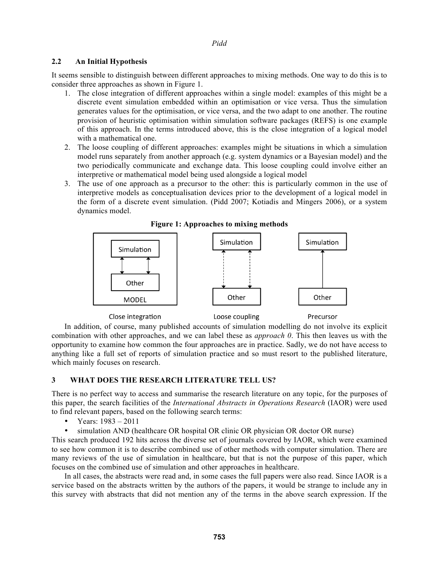# **2.2 An Initial Hypothesis**

It seems sensible to distinguish between different approaches to mixing methods. One way to do this is to consider three approaches as shown in Figure 1.

- 1. The close integration of different approaches within a single model: examples of this might be a discrete event simulation embedded within an optimisation or vice versa. Thus the simulation generates values for the optimisation, or vice versa, and the two adapt to one another. The routine provision of heuristic optimisation within simulation software packages (REFS) is one example of this approach. In the terms introduced above, this is the close integration of a logical model with a mathematical one.
- 2. The loose coupling of different approaches: examples might be situations in which a simulation model runs separately from another approach (e.g. system dynamics or a Bayesian model) and the two periodically communicate and exchange data. This loose coupling could involve either an interpretive or mathematical model being used alongside a logical model
- 3. The use of one approach as a precursor to the other: this is particularly common in the use of interpretive models as conceptualisation devices prior to the development of a logical model in the form of a discrete event simulation. (Pidd 2007; Kotiadis and Mingers 2006), or a system dynamics model.





In addition, of course, many published accounts of simulation modelling do not involve its explicit combination with other approaches, and we can label these as *approach 0*. This then leaves us with the opportunity to examine how common the four approaches are in practice. Sadly, we do not have access to anything like a full set of reports of simulation practice and so must resort to the published literature, which mainly focuses on research.

## **3 WHAT DOES THE RESEARCH LITERATURE TELL US?**

There is no perfect way to access and summarise the research literature on any topic, for the purposes of this paper, the search facilities of the *International Abstracts in Operations Research* (IAOR) were used to find relevant papers, based on the following search terms:

- Years:  $1983 2011$
- simulation AND (healthcare OR hospital OR clinic OR physician OR doctor OR nurse)

This search produced 192 hits across the diverse set of journals covered by IAOR, which were examined to see how common it is to describe combined use of other methods with computer simulation. There are many reviews of the use of simulation in healthcare, but that is not the purpose of this paper, which focuses on the combined use of simulation and other approaches in healthcare.

In all cases, the abstracts were read and, in some cases the full papers were also read. Since IAOR is a service based on the abstracts written by the authors of the papers, it would be strange to include any in this survey with abstracts that did not mention any of the terms in the above search expression. If the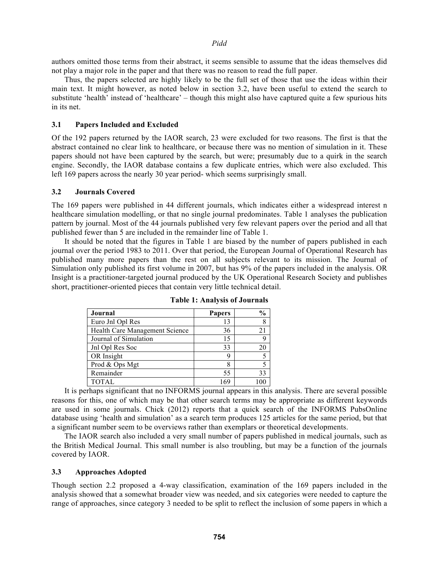authors omitted those terms from their abstract, it seems sensible to assume that the ideas themselves did not play a major role in the paper and that there was no reason to read the full paper.

Thus, the papers selected are highly likely to be the full set of those that use the ideas within their main text. It might however, as noted below in section 3.2, have been useful to extend the search to substitute 'health' instead of 'healthcare' – though this might also have captured quite a few spurious hits in its net.

### **3.1 Papers Included and Excluded**

Of the 192 papers returned by the IAOR search, 23 were excluded for two reasons. The first is that the abstract contained no clear link to healthcare, or because there was no mention of simulation in it. These papers should not have been captured by the search, but were; presumably due to a quirk in the search engine. Secondly, the IAOR database contains a few duplicate entries, which were also excluded. This left 169 papers across the nearly 30 year period- which seems surprisingly small.

#### **3.2 Journals Covered**

The 169 papers were published in 44 different journals, which indicates either a widespread interest n healthcare simulation modelling, or that no single journal predominates. Table 1 analyses the publication pattern by journal. Most of the 44 journals published very few relevant papers over the period and all that published fewer than 5 are included in the remainder line of Table 1.

It should be noted that the figures in Table 1 are biased by the number of papers published in each journal over the period 1983 to 2011. Over that period, the European Journal of Operational Research has published many more papers than the rest on all subjects relevant to its mission. The Journal of Simulation only published its first volume in 2007, but has 9% of the papers included in the analysis. OR Insight is a practitioner-targeted journal produced by the UK Operational Research Society and publishes short, practitioner-oriented pieces that contain very little technical detail.

| Journal                               | <b>Papers</b> | $\frac{0}{0}$ |
|---------------------------------------|---------------|---------------|
| Euro Jnl Opl Res                      |               |               |
| <b>Health Care Management Science</b> | 36            |               |
| Journal of Simulation                 | 15            |               |
| Jnl Opl Res Soc                       | 33            |               |
| OR Insight                            | q             |               |
| Prod & Ops Mgt                        | 8             |               |
| Remainder                             | 55            | 33            |
| <b>TOTAL</b>                          | 169           |               |

**Table 1: Analysis of Journals** 

It is perhaps significant that no INFORMS journal appears in this analysis. There are several possible reasons for this, one of which may be that other search terms may be appropriate as different keywords are used in some journals. Chick (2012) reports that a quick search of the INFORMS PubsOnline database using 'health and simulation' as a search term produces 125 articles for the same period, but that a significant number seem to be overviews rather than exemplars or theoretical developments.

The IAOR search also included a very small number of papers published in medical journals, such as the British Medical Journal. This small number is also troubling, but may be a function of the journals covered by IAOR.

# **3.3 Approaches Adopted**

Though section 2.2 proposed a 4-way classification, examination of the 169 papers included in the analysis showed that a somewhat broader view was needed, and six categories were needed to capture the range of approaches, since category 3 needed to be split to reflect the inclusion of some papers in which a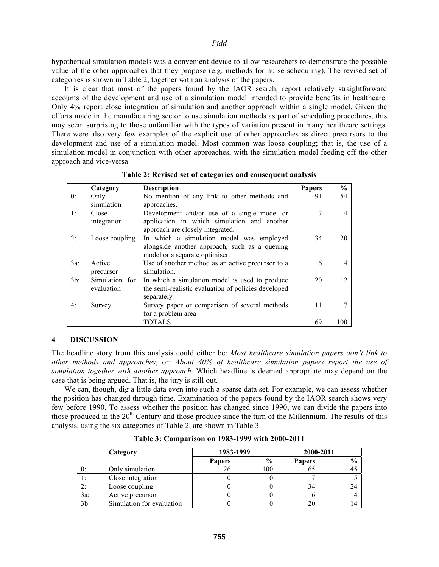hypothetical simulation models was a convenient device to allow researchers to demonstrate the possible value of the other approaches that they propose (e.g. methods for nurse scheduling). The revised set of categories is shown in Table 2, together with an analysis of the papers.

It is clear that most of the papers found by the IAOR search, report relatively straightforward accounts of the development and use of a simulation model intended to provide benefits in healthcare. Only 4% report close integration of simulation and another approach within a single model. Given the efforts made in the manufacturing sector to use simulation methods as part of scheduling procedures, this may seem surprising to those unfamiliar with the types of variation present in many healthcare settings. There were also very few examples of the explicit use of other approaches as direct precursors to the development and use of a simulation model. Most common was loose coupling; that is, the use of a simulation model in conjunction with other approaches, with the simulation model feeding off the other approach and vice-versa.

|        | Category                                             | <b>Description</b>                                  | <b>Papers</b> | $\frac{0}{0}$ |
|--------|------------------------------------------------------|-----------------------------------------------------|---------------|---------------|
| 0:     | Only                                                 | No mention of any link to other methods and         | 91            | 54            |
|        | simulation                                           | approaches.                                         |               |               |
| 1:     | Development and/or use of a single model or<br>Close |                                                     | 7             | 4             |
|        | integration                                          | application in which simulation and another         |               |               |
|        |                                                      | approach are closely integrated.                    |               |               |
| 2:     | Loose coupling                                       | In which a simulation model was employed            | 34            | 20            |
|        |                                                      | alongside another approach, such as a queuing       |               |               |
|        |                                                      | model or a separate optimiser.                      |               |               |
| $3a$ : | Active                                               | Use of another method as an active precursor to a   | 6             | 4             |
|        | precursor                                            | simulation.                                         |               |               |
| $3b$ : | Simulation for                                       | In which a simulation model is used to produce      | 20            | 12            |
|        | evaluation                                           | the semi-realistic evaluation of policies developed |               |               |
|        |                                                      | separately                                          |               |               |
| 4:     | Survey                                               | Survey paper or comparison of several methods       | 11            |               |
|        |                                                      | for a problem area                                  |               |               |
|        |                                                      | <b>TOTALS</b>                                       | 169           | 100           |

**Table 2: Revised set of categories and consequent analysis** 

## **4 DISCUSSION**

The headline story from this analysis could either be: *Most healthcare simulation papers don't link to other methods and approaches*, or: *About 40% of healthcare simulation papers report the use of simulation together with another approach*. Which headline is deemed appropriate may depend on the case that is being argued. That is, the jury is still out.

We can, though, dig a little data even into such a sparse data set. For example, we can assess whether the position has changed through time. Examination of the papers found by the IAOR search shows very few before 1990. To assess whether the position has changed since 1990, we can divide the papers into those produced in the 20<sup>th</sup> Century and those produce since the turn of the Millennium. The results of this analysis, using the six categories of Table 2, are shown in Table 3.

|            | Category                  | 1983-1999     |               | 2000-2011     |               |
|------------|---------------------------|---------------|---------------|---------------|---------------|
|            |                           | <b>Papers</b> | $\frac{6}{9}$ | <b>Papers</b> | $\frac{0}{0}$ |
| $\theta$ : | Only simulation           | 26            | 100           | 65            | 45            |
|            | Close integration         |               |               |               |               |
| 2:         | Loose coupling            |               |               | 34            | 24            |
| $3a$ :     | Active precursor          |               |               |               |               |
| $3b$ :     | Simulation for evaluation |               |               | 20            | 14            |

**Table 3: Comparison on 1983-1999 with 2000-2011**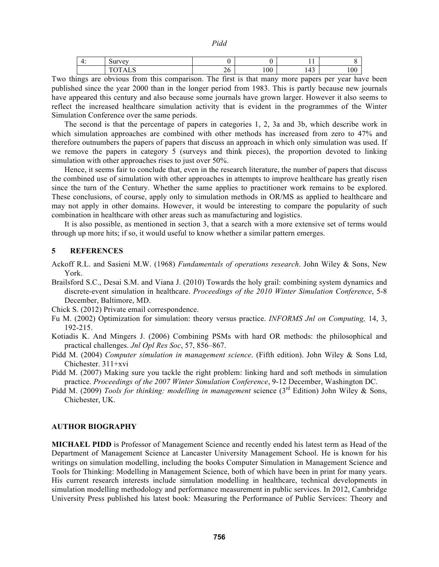| . . | <b>DUI</b>                         |          |     | . .<br>. .                    |     |
|-----|------------------------------------|----------|-----|-------------------------------|-----|
|     | -<br>.<br>$\overline{\phantom{a}}$ | 20<br>__ | 100 | $\sim$<br>_<br>. . <i>. .</i> | 100 |

Two things are obvious from this comparison. The first is that many more papers per year have been published since the year 2000 than in the longer period from 1983. This is partly because new journals have appeared this century and also because some journals have grown larger. However it also seems to reflect the increased healthcare simulation activity that is evident in the programmes of the Winter Simulation Conference over the same periods.

The second is that the percentage of papers in categories 1, 2, 3a and 3b, which describe work in which simulation approaches are combined with other methods has increased from zero to 47% and therefore outnumbers the papers of papers that discuss an approach in which only simulation was used. If we remove the papers in category 5 (surveys and think pieces), the proportion devoted to linking simulation with other approaches rises to just over 50%.

Hence, it seems fair to conclude that, even in the research literature, the number of papers that discuss the combined use of simulation with other approaches in attempts to improve healthcare has greatly risen since the turn of the Century. Whether the same applies to practitioner work remains to be explored. These conclusions, of course, apply only to simulation methods in OR/MS as applied to healthcare and may not apply in other domains. However, it would be interesting to compare the popularity of such combination in healthcare with other areas such as manufacturing and logistics.

It is also possible, as mentioned in section 3, that a search with a more extensive set of terms would through up more hits; if so, it would useful to know whether a similar pattern emerges.

#### **5 REFERENCES**

Ackoff R.L. and Sasieni M.W. (1968) *Fundamentals of operations research*. John Wiley & Sons, New York.

- Brailsford S.C., Desai S.M. and Viana J. (2010) Towards the holy grail: combining system dynamics and discrete-event simulation in healthcare. *Proceedings of the 2010 Winter Simulation Conference*, 5-8 December, Baltimore, MD.
- Chick S. (2012) Private email correspondence.
- Fu M. (2002) Optimization for simulation: theory versus practice. *INFORMS Jnl on Computing,* 14, 3, 192-215.
- Kotiadis K. And Mingers J. (2006) Combining PSMs with hard OR methods: the philosophical and practical challenges. *Jnl Opl Res Soc*, 57, 856–867.
- Pidd M. (2004) *Computer simulation in management science*. (Fifth edition). John Wiley & Sons Ltd, Chichester. 311+xvi
- Pidd M. (2007) Making sure you tackle the right problem: linking hard and soft methods in simulation practice. *Proceedings of the 2007 Winter Simulation Conference*, 9-12 December, Washington DC.
- Pidd M. (2009) *Tools for thinking: modelling in management* science (3rd Edition) John Wiley & Sons, Chichester, UK.

#### **AUTHOR BIOGRAPHY**

**MICHAEL PIDD** is Professor of Management Science and recently ended his latest term as Head of the Department of Management Science at Lancaster University Management School. He is known for his writings on simulation modelling, including the books Computer Simulation in Management Science and Tools for Thinking: Modelling in Management Science, both of which have been in print for many years. His current research interests include simulation modelling in healthcare, technical developments in simulation modelling methodology and performance measurement in public services. In 2012, Cambridge University Press published his latest book: Measuring the Performance of Public Services: Theory and